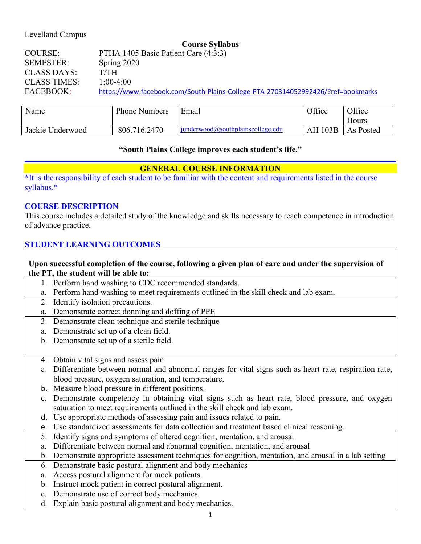## Levelland Campus

|                     | <b>Course Syllabus</b>                                                           |
|---------------------|----------------------------------------------------------------------------------|
| <b>COURSE:</b>      | PTHA 1405 Basic Patient Care (4:3:3)                                             |
| <b>SEMESTER:</b>    | Spring 2020                                                                      |
| <b>CLASS DAYS:</b>  | T/TH                                                                             |
| <b>CLASS TIMES:</b> | $1:00-4:00$                                                                      |
| <b>FACEBOOK:</b>    | https://www.facebook.com/South-Plains-College-PTA-270314052992426/?ref=bookmarks |

| Name             | <b>Phone Numbers</b> | Email                                      | Office         | Office    |
|------------------|----------------------|--------------------------------------------|----------------|-----------|
|                  |                      |                                            |                | Hours     |
| Jackie Underwood | 806.716.2470         | $i$ underwood $(a)$ southplainscollege.edu | <b>AH 103B</b> | As Posted |

### **"South Plains College improves each student's life."**

## **GENERAL COURSE INFORMATION**

**\***It is the responsibility of each student to be familiar with the content and requirements listed in the course syllabus.\*

#### **COURSE DESCRIPTION**

This course includes a detailed study of the knowledge and skills necessary to reach competence in introduction of advance practice.

### **STUDENT LEARNING OUTCOMES**

### **Upon successful completion of the course, following a given plan of care and under the supervision of the PT, the student will be able to:**

- 1. Perform hand washing to CDC recommended standards.
- a. Perform hand washing to meet requirements outlined in the skill check and lab exam.
- 2. Identify isolation precautions.
- a. Demonstrate correct donning and doffing of PPE
- 3. Demonstrate clean technique and sterile technique
- a. Demonstrate set up of a clean field.
- b. Demonstrate set up of a sterile field.
- 4. Obtain vital signs and assess pain.
- a. Differentiate between normal and abnormal ranges for vital signs such as heart rate, respiration rate, blood pressure, oxygen saturation, and temperature.
- b. Measure blood pressure in different positions.
- c. Demonstrate competency in obtaining vital signs such as heart rate, blood pressure, and oxygen saturation to meet requirements outlined in the skill check and lab exam.
- d. Use appropriate methods of assessing pain and issues related to pain.
- e. Use standardized assessments for data collection and treatment based clinical reasoning.
- 5. Identify signs and symptoms of altered cognition, mentation, and arousal
- a. Differentiate between normal and abnormal cognition, mentation, and arousal
- b. Demonstrate appropriate assessment techniques for cognition, mentation, and arousal in a lab setting
- 6. Demonstrate basic postural alignment and body mechanics
- a. Access postural alignment for mock patients.
- b. Instruct mock patient in correct postural alignment.
- c. Demonstrate use of correct body mechanics.
- d. Explain basic postural alignment and body mechanics.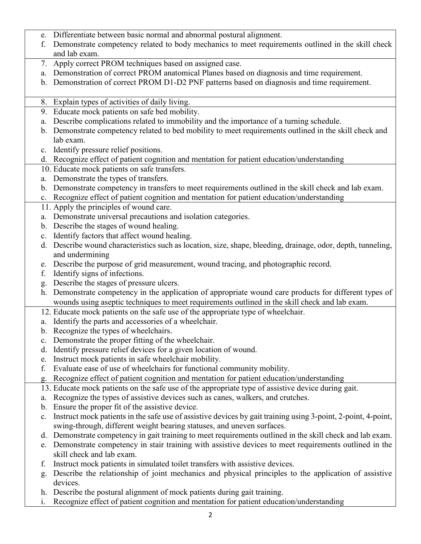- e. Differentiate between basic normal and abnormal postural alignment.
- f. Demonstrate competency related to body mechanics to meet requirements outlined in the skill check and lab exam.
- 7. Apply correct PROM techniques based on assigned case.
- a. Demonstration of correct PROM anatomical Planes based on diagnosis and time requirement.
- b. Demonstration of correct PROM D1-D2 PNF patterns based on diagnosis and time requirement.
- 8. Explain types of activities of daily living.
- 9. Educate mock patients on safe bed mobility.
- a. Describe complications related to immobility and the importance of a turning schedule.
- b. Demonstrate competency related to bed mobility to meet requirements outlined in the skill check and lab exam.
- c. Identify pressure relief positions.
- d. Recognize effect of patient cognition and mentation for patient education/understanding
- 10. Educate mock patients on safe transfers.
- a. Demonstrate the types of transfers.
- b. Demonstrate competency in transfers to meet requirements outlined in the skill check and lab exam.
- c. Recognize effect of patient cognition and mentation for patient education/understanding
- 11. Apply the principles of wound care.
- a. Demonstrate universal precautions and isolation categories.
- b. Describe the stages of wound healing.
- c. Identify factors that affect wound healing.
- d. Describe wound characteristics such as location, size, shape, bleeding, drainage, odor, depth, tunneling, and undermining
- e. Describe the purpose of grid measurement, wound tracing, and photographic record.
- f. Identify signs of infections.
- g. Describe the stages of pressure ulcers.
- h. Demonstrate competency in the application of appropriate wound care products for different types of wounds using aseptic techniques to meet requirements outlined in the skill check and lab exam.
- 12. Educate mock patients on the safe use of the appropriate type of wheelchair.
- a. Identify the parts and accessories of a wheelchair.
- b. Recognize the types of wheelchairs.
- c. Demonstrate the proper fitting of the wheelchair.
- d. Identify pressure relief devices for a given location of wound.
- e. Instruct mock patients in safe wheelchair mobility.
- f. Evaluate ease of use of wheelchairs for functional community mobility.
- g. Recognize effect of patient cognition and mentation for patient education/understanding
- 13. Educate mock patients on the safe use of the appropriate type of assistive device during gait.
- a. Recognize the types of assistive devices such as canes, walkers, and crutches.
- b. Ensure the proper fit of the assistive device.
- c. Instruct mock patients in the safe use of assistive devices by gait training using 3-point, 2-point, 4-point, swing-through, different weight bearing statuses, and uneven surfaces.
- d. Demonstrate competency in gait training to meet requirements outlined in the skill check and lab exam.
- e. Demonstrate competency in stair training with assistive devices to meet requirements outlined in the skill check and lab exam.
- f. Instruct mock patients in simulated toilet transfers with assistive devices.
- g. Describe the relationship of joint mechanics and physical principles to the application of assistive devices.
- h. Describe the postural alignment of mock patients during gait training.
- i. Recognize effect of patient cognition and mentation for patient education/understanding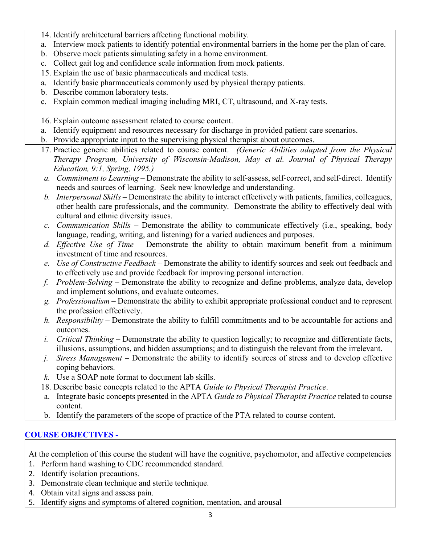- 14. Identify architectural barriers affecting functional mobility.
- a. Interview mock patients to identify potential environmental barriers in the home per the plan of care.
- b. Observe mock patients simulating safety in a home environment.
- c. Collect gait log and confidence scale information from mock patients.
- 15. Explain the use of basic pharmaceuticals and medical tests.
- a. Identify basic pharmaceuticals commonly used by physical therapy patients.
- b. Describe common laboratory tests.
- c. Explain common medical imaging including MRI, CT, ultrasound, and X-ray tests.
- 16. Explain outcome assessment related to course content.
- a. Identify equipment and resources necessary for discharge in provided patient care scenarios.
- b. Provide appropriate input to the supervising physical therapist about outcomes.
- 17. Practice generic abilities related to course content. *(Generic Abilities adapted from the Physical Therapy Program, University of Wisconsin-Madison, May et al. Journal of Physical Therapy Education, 9:1, Spring, 1995.)*
- *a. Commitment to Learning* Demonstrate the ability to self-assess, self-correct, and self-direct. Identify needs and sources of learning. Seek new knowledge and understanding.
- *b. Interpersonal Skills* Demonstrate the ability to interact effectively with patients, families, colleagues, other health care professionals, and the community. Demonstrate the ability to effectively deal with cultural and ethnic diversity issues.
- *c. Communication Skills* Demonstrate the ability to communicate effectively (i.e., speaking, body language, reading, writing, and listening) for a varied audiences and purposes.
- *d. Effective Use of Time* Demonstrate the ability to obtain maximum benefit from a minimum investment of time and resources.
- *e. Use of Constructive Feedback* Demonstrate the ability to identify sources and seek out feedback and to effectively use and provide feedback for improving personal interaction.
- *f. Problem-Solving* Demonstrate the ability to recognize and define problems, analyze data, develop and implement solutions, and evaluate outcomes.
- *g. Professionalism* Demonstrate the ability to exhibit appropriate professional conduct and to represent the profession effectively.
- *h. Responsibility* Demonstrate the ability to fulfill commitments and to be accountable for actions and outcomes.
- *i. Critical Thinking* Demonstrate the ability to question logically; to recognize and differentiate facts, illusions, assumptions, and hidden assumptions; and to distinguish the relevant from the irrelevant.
- *j. Stress Management* Demonstrate the ability to identify sources of stress and to develop effective coping behaviors.
- *k.* Use a SOAP note format to document lab skills.
- 18. Describe basic concepts related to the APTA *Guide to Physical Therapist Practice*.
- a. Integrate basic concepts presented in the APTA *Guide to Physical Therapist Practice* related to course content.
- b. Identify the parameters of the scope of practice of the PTA related to course content.

# **COURSE OBJECTIVES -**

At the completion of this course the student will have the cognitive, psychomotor, and affective competencies

- 1. Perform hand washing to CDC recommended standard.
- 2. Identify isolation precautions.
- 3. Demonstrate clean technique and sterile technique.
- 4. Obtain vital signs and assess pain.
- 5. Identify signs and symptoms of altered cognition, mentation, and arousal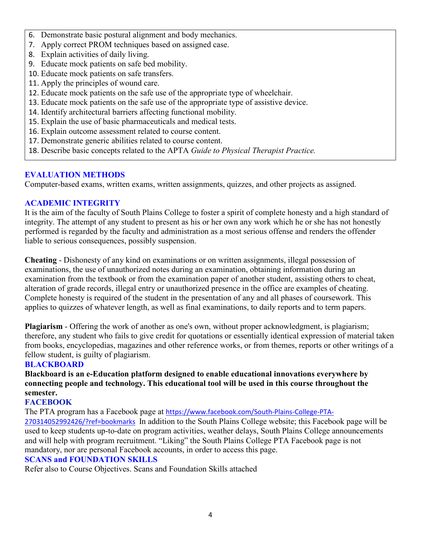- 6. Demonstrate basic postural alignment and body mechanics.
- 7. Apply correct PROM techniques based on assigned case.
- 8. Explain activities of daily living.
- 9. Educate mock patients on safe bed mobility.
- 10. Educate mock patients on safe transfers.
- 11. Apply the principles of wound care.
- 12. Educate mock patients on the safe use of the appropriate type of wheelchair.
- 13. Educate mock patients on the safe use of the appropriate type of assistive device.
- 14. Identify architectural barriers affecting functional mobility.
- 15. Explain the use of basic pharmaceuticals and medical tests.
- 16. Explain outcome assessment related to course content.
- 17. Demonstrate generic abilities related to course content.
- 18. Describe basic concepts related to the APTA *Guide to Physical Therapist Practice.*

## **EVALUATION METHODS**

Computer-based exams, written exams, written assignments, quizzes, and other projects as assigned.

## **ACADEMIC INTEGRITY**

It is the aim of the faculty of South Plains College to foster a spirit of complete honesty and a high standard of integrity. The attempt of any student to present as his or her own any work which he or she has not honestly performed is regarded by the faculty and administration as a most serious offense and renders the offender liable to serious consequences, possibly suspension.

**Cheating** - Dishonesty of any kind on examinations or on written assignments, illegal possession of examinations, the use of unauthorized notes during an examination, obtaining information during an examination from the textbook or from the examination paper of another student, assisting others to cheat, alteration of grade records, illegal entry or unauthorized presence in the office are examples of cheating. Complete honesty is required of the student in the presentation of any and all phases of coursework. This applies to quizzes of whatever length, as well as final examinations, to daily reports and to term papers.

**Plagiarism** - Offering the work of another as one's own, without proper acknowledgment, is plagiarism; therefore, any student who fails to give credit for quotations or essentially identical expression of material taken from books, encyclopedias, magazines and other reference works, or from themes, reports or other writings of a fellow student, is guilty of plagiarism.

## **BLACKBOARD**

## **Blackboard is an e-Education platform designed to enable educational innovations everywhere by connecting people and technology. This educational tool will be used in this course throughout the semester.**

## **FACEBOOK**

The PTA program has a Facebook page at [https://www.facebook.com/South-Plains-College-PTA-](https://www.facebook.com/South-Plains-College-PTA-270314052992426/?ref=bookmarks)

[270314052992426/?ref=bookmarks](https://www.facebook.com/South-Plains-College-PTA-270314052992426/?ref=bookmarks) In addition to the South Plains College website; this Facebook page will be used to keep students up-to-date on program activities, weather delays, South Plains College announcements and will help with program recruitment. "Liking" the South Plains College PTA Facebook page is not mandatory, nor are personal Facebook accounts, in order to access this page.

## **SCANS and FOUNDATION SKILLS**

Refer also to Course Objectives. Scans and Foundation Skills attached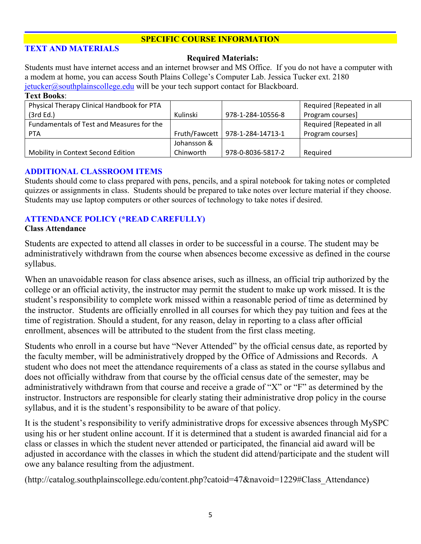### **SPECIFIC COURSE INFORMATION**

#### **TEXT AND MATERIALS**

#### **Required Materials:**

Students must have internet access and an internet browser and MS Office. If you do not have a computer with a modem at home, you can access South Plains College's Computer Lab. Jessica Tucker ext. 2180  $jetucker@southplain scollege.edu$  will be your tech support contact for Blackboard.

#### **Text Books**:

| Physical Therapy Clinical Handbook for PTA |               |                   | Required [Repeated in all |
|--------------------------------------------|---------------|-------------------|---------------------------|
| (3rd Ed.)                                  | Kulinski      | 978-1-284-10556-8 | Program courses]          |
| Fundamentals of Test and Measures for the  |               |                   | Required [Repeated in all |
| <b>PTA</b>                                 | Fruth/Fawcett | 978-1-284-14713-1 | Program courses]          |
|                                            | Johansson &   |                   |                           |
| Mobility in Context Second Edition         | Chinworth     | 978-0-8036-5817-2 | Required                  |

#### **ADDITIONAL CLASSROOM ITEMS**

Students should come to class prepared with pens, pencils, and a spiral notebook for taking notes or completed quizzes or assignments in class. Students should be prepared to take notes over lecture material if they choose. Students may use laptop computers or other sources of technology to take notes if desired.

### **ATTENDANCE POLICY (\*READ CAREFULLY)**

#### **Class Attendance**

Students are expected to attend all classes in order to be successful in a course. The student may be administratively withdrawn from the course when absences become excessive as defined in the course syllabus.

When an unavoidable reason for class absence arises, such as illness, an official trip authorized by the college or an official activity, the instructor may permit the student to make up work missed. It is the student's responsibility to complete work missed within a reasonable period of time as determined by the instructor. Students are officially enrolled in all courses for which they pay tuition and fees at the time of registration. Should a student, for any reason, delay in reporting to a class after official enrollment, absences will be attributed to the student from the first class meeting.

Students who enroll in a course but have "Never Attended" by the official census date, as reported by the faculty member, will be administratively dropped by the Office of Admissions and Records. A student who does not meet the attendance requirements of a class as stated in the course syllabus and does not officially withdraw from that course by the official census date of the semester, may be administratively withdrawn from that course and receive a grade of "X" or "F" as determined by the instructor. Instructors are responsible for clearly stating their administrative drop policy in the course syllabus, and it is the student's responsibility to be aware of that policy.

It is the student's responsibility to verify administrative drops for excessive absences through MySPC using his or her student online account. If it is determined that a student is awarded financial aid for a class or classes in which the student never attended or participated, the financial aid award will be adjusted in accordance with the classes in which the student did attend/participate and the student will owe any balance resulting from the adjustment.

(http://catalog.southplainscollege.edu/content.php?catoid=47&navoid=1229#Class\_Attendance)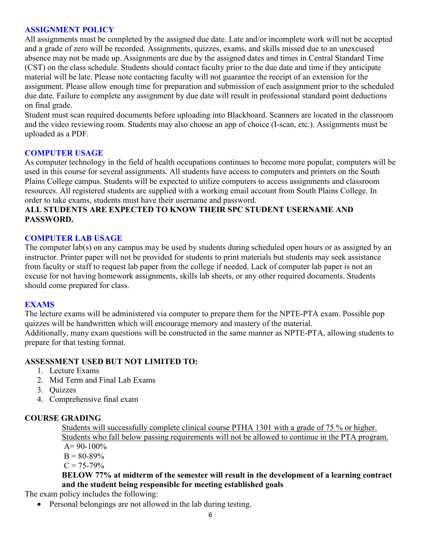#### **ASSIGNMENT POLICY**

All assignments must be completed by the assigned due date. Late and/or incomplete work will not be accepted and a grade of zero will be recorded. Assignments, quizzes, exams, and skills missed due to an unexcused absence may not be made up. Assignments are due by the assigned dates and times in Central Standard Time (CST) on the class schedule. Students should contact faculty prior to the due date and time if they anticipate material will be late. Please note contacting faculty will not guarantee the receipt of an extension for the assignment. Please allow enough time for preparation and submission of each assignment prior to the scheduled due date. Failure to complete any assignment by due date will result in professional standard point deductions on final grade.

Student must scan required documents before uploading into Blackboard. Scanners are located in the classroom and the video reviewing room. Students may also choose an app of choice (I-scan, etc.). Assignments must be uploaded as a PDF.

#### **COMPUTER USAGE**

As computer technology in the field of health occupations continues to become more popular, computers will be used in this course for several assignments. All students have access to computers and printers on the South Plains College campus. Students will be expected to utilize computers to access assignments and classroom resources. All registered students are supplied with a working email account from South Plains College. In order to take exams, students must have their username and password.

### **ALL STUDENTS ARE EXPECTED TO KNOW THEIR SPC STUDENT USERNAME AND PASSWORD.**

#### **COMPUTER LAB USAGE**

The computer lab(s) on any campus may be used by students during scheduled open hours or as assigned by an instructor. Printer paper will not be provided for students to print materials but students may seek assistance from faculty or staff to request lab paper from the college if needed. Lack of computer lab paper is not an excuse for not having homework assignments, skills lab sheets, or any other required documents. Students should come prepared for class.

#### **EXAMS**

The lecture exams will be administered via computer to prepare them for the NPTE-PTA exam. Possible pop quizzes will be handwritten which will encourage memory and mastery of the material. Additionally, many exam questions will be constructed in the same manner as NPTE-PTA, allowing students to prepare for that testing format.

#### **ASSESSMENT USED BUT NOT LIMITED TO:**

- 1. Lecture Exams
- 2. Mid Term and Final Lab Exams
- 3. Quizzes
- 4. Comprehensive final exam

### **COURSE GRADING**

Students will successfully complete clinical course PTHA 1301 with a grade of 75 % or higher. Students who fall below passing requirements will not be allowed to continue in the PTA program.  $A= 90-100\%$  $B = 80-89%$ 

### $C = 75 - 79\%$

## **BELOW 77% at midterm of the semester will result in the development of a learning contract and the student being responsible for meeting established goals**

The exam policy includes the following:

• Personal belongings are not allowed in the lab during testing.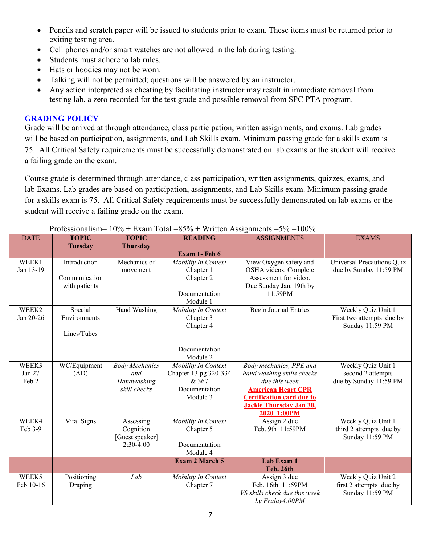- Pencils and scratch paper will be issued to students prior to exam. These items must be returned prior to exiting testing area.
- Cell phones and/or smart watches are not allowed in the lab during testing.
- Students must adhere to lab rules.
- Hats or hoodies may not be worn.
- Talking will not be permitted; questions will be answered by an instructor.
- Any action interpreted as cheating by facilitating instructor may result in immediate removal from testing lab, a zero recorded for the test grade and possible removal from SPC PTA program.

### **GRADING POLICY**

Grade will be arrived at through attendance, class participation, written assignments, and exams. Lab grades will be based on participation, assignments, and Lab Skills exam. Minimum passing grade for a skills exam is 75. All Critical Safety requirements must be successfully demonstrated on lab exams or the student will receive a failing grade on the exam.

Course grade is determined through attendance, class participation, written assignments, quizzes, exams, and lab Exams. Lab grades are based on participation, assignments, and Lab Skills exam. Minimum passing grade for a skills exam is 75. All Critical Safety requirements must be successfully demonstrated on lab exams or the student will receive a failing grade on the exam.

| <b>DATE</b> | <b>TOPIC</b>   | <b>TOPIC</b>                   | <b>READING</b>         | <b>ASSIGNMENTS</b>                             | <b>EXAMS</b>                      |
|-------------|----------------|--------------------------------|------------------------|------------------------------------------------|-----------------------------------|
|             | <b>Tuesday</b> | <b>Thursday</b>                |                        |                                                |                                   |
|             |                |                                | Exam 1- Feb 6          |                                                |                                   |
| WEEK1       | Introduction   | Mechanics of                   | Mobility In Context    | View Oxygen safety and                         | <b>Universal Precautions Quiz</b> |
| Jan 13-19   | Communication  | movement                       | Chapter 1<br>Chapter 2 | OSHA videos. Complete<br>Assessment for video. | due by Sunday 11:59 PM            |
|             | with patients  |                                |                        | Due Sunday Jan. 19th by                        |                                   |
|             |                |                                | Documentation          | 11:59PM                                        |                                   |
|             |                |                                | Module 1               |                                                |                                   |
| WEEK2       | Special        | Hand Washing                   | Mobility In Context    | <b>Begin Journal Entries</b>                   | Weekly Quiz Unit 1                |
| Jan 20-26   | Environments   |                                | Chapter 3              |                                                | First two attempts due by         |
|             | Lines/Tubes    |                                | Chapter 4              |                                                | Sunday 11:59 PM                   |
|             |                |                                |                        |                                                |                                   |
|             |                |                                | Documentation          |                                                |                                   |
|             |                |                                | Module 2               |                                                |                                   |
| WEEK3       | WC/Equipment   | <b>Body Mechanics</b>          | Mobility In Context    | Body mechanics, PPE and                        | Weekly Quiz Unit 1                |
| Jan 27-     | (AD)           | and                            | Chapter 13 pg 320-334  | hand washing skills checks                     | second 2 attempts                 |
| Feb.2       |                | Handwashing<br>skill checks    | & 367<br>Documentation | due this week<br><b>American Heart CPR</b>     | due by Sunday 11:59 PM            |
|             |                |                                | Module 3               | <b>Certification card due to</b>               |                                   |
|             |                |                                |                        | Jackie Thursday Jan 30,                        |                                   |
|             |                |                                |                        | 2020 1:00PM                                    |                                   |
| WEEK4       | Vital Signs    | Assessing                      | Mobility In Context    | Assign 2 due                                   | Weekly Quiz Unit 1                |
| Feb 3-9     |                | Cognition                      | Chapter 5              | Feb. 9th 11:59PM                               | third 2 attempts due by           |
|             |                | [Guest speaker]<br>$2:30-4:00$ | Documentation          |                                                | Sunday 11:59 PM                   |
|             |                |                                | Module 4               |                                                |                                   |
|             |                |                                | <b>Exam 2 March 5</b>  | <b>Lab Exam 1</b>                              |                                   |
|             |                |                                |                        | Feb. 26th                                      |                                   |
| WEEK5       | Positioning    | Lab                            | Mobility In Context    | Assign 3 due                                   | Weekly Quiz Unit 2                |
| Feb 10-16   | Draping        |                                | Chapter 7              | Feb. 16th 11:59PM                              | first 2 attempts due by           |
|             |                |                                |                        | VS skills check due this week                  | Sunday 11:59 PM                   |
|             |                |                                |                        | by Friday4:00PM                                |                                   |

#### Professionalism=  $10\%$  + Exam Total =85% + Written Assignments =5% =100%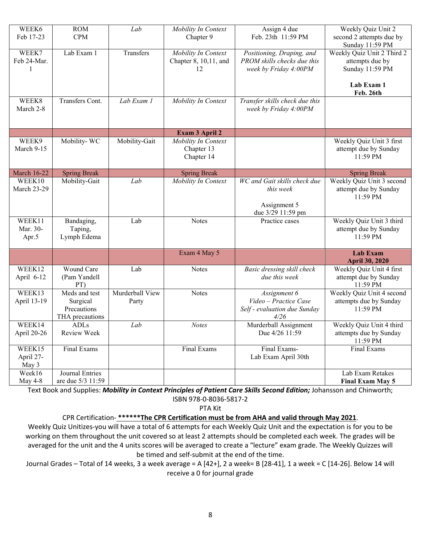| WEEK6<br>Feb 17-23           | <b>ROM</b><br><b>CPM</b>                                    | Lab                      | Mobility In Context<br>Chapter 9                   | Assign 4 due<br>Feb. 23th 11:59 PM                                                | Weekly Quiz Unit 2<br>second 2 attempts due by<br>Sunday 11:59 PM                           |
|------------------------------|-------------------------------------------------------------|--------------------------|----------------------------------------------------|-----------------------------------------------------------------------------------|---------------------------------------------------------------------------------------------|
| WEEK7<br>Feb 24-Mar.         | Lab Exam 1                                                  | Transfers                | Mobility In Context<br>Chapter 8, 10,11, and<br>12 | Positioning, Draping, and<br>PROM skills checks due this<br>week by Friday 4:00PM | Weekly Quiz Unit 2 Third 2<br>attempts due by<br>Sunday 11:59 PM<br>Lab Exam 1<br>Feb. 26th |
| WEEK8<br>March 2-8           | Transfers Cont.                                             | $\overline{Lab}$ Exam 1  | Mobility In Context                                | Transfer skills check due this<br>week by Friday 4:00PM                           |                                                                                             |
|                              |                                                             |                          | Exam 3 April 2                                     |                                                                                   |                                                                                             |
| WEEK9<br>March 9-15          | Mobility-WC                                                 | Mobility-Gait            | Mobility In Context<br>Chapter 13<br>Chapter 14    |                                                                                   | Weekly Quiz Unit 3 first<br>attempt due by Sunday<br>11:59 PM                               |
| <b>March 16-22</b>           | <b>Spring Break</b>                                         |                          | <b>Spring Break</b>                                |                                                                                   | <b>Spring Break</b>                                                                         |
| WEEK10<br><b>March 23-29</b> | Mobility-Gait                                               | Lab                      | Mobility In Context                                | WC and Gait skills check due<br>this week<br>Assignment 5<br>due 3/29 11:59 pm    | Weekly Quiz Unit 3 second<br>attempt due by Sunday<br>11:59 PM                              |
| WEEK11<br>Mar. 30-<br>Apr.5  | Bandaging,<br>Taping,<br>Lymph Edema                        | Lab                      | <b>Notes</b>                                       | Practice cases                                                                    | Weekly Quiz Unit 3 third<br>attempt due by Sunday<br>11:59 PM                               |
|                              |                                                             |                          | Exam 4 May 5                                       |                                                                                   | <b>Lab Exam</b><br><b>April 30, 2020</b>                                                    |
| WEEK12<br>April 6-12         | Wound Care<br>(Pam Yandell<br>PT)                           | Lab                      | <b>Notes</b>                                       | Basic dressing skill check<br>due this week                                       | Weekly Quiz Unit 4 first<br>attempt due by Sunday<br>11:59 PM                               |
| WEEK13<br>April 13-19        | Meds and test<br>Surgical<br>Precautions<br>THA precautions | Murderball View<br>Party | <b>Notes</b>                                       | Assignment 6<br>Video - Practice Case<br>Self - evaluation due Sunday<br>4/26     | Weekly Quiz Unit 4 second<br>attempts due by Sunday<br>11:59 PM                             |
| WEEK14<br>April 20-26        | <b>ADLs</b><br>Review Week                                  | Lab                      | <b>Notes</b>                                       | Murderball Assignment<br>Due 4/26 11:59                                           | Weekly Quiz Unit 4 third<br>attempts due by Sunday<br>11:59 PM                              |
| WEEK15<br>April 27-<br>May 3 | Final Exams                                                 |                          | Final Exams                                        | Final Exams-<br>Lab Exam April 30th                                               | Final Exams                                                                                 |
| Week16<br>May 4-8            | Journal Entries<br>are due 5/3 11:59                        |                          |                                                    |                                                                                   | Lab Exam Retakes<br><b>Final Exam May 5</b>                                                 |

Text Book and Supplies: *Mobility in Context Principles of Patient Care Skills Second Edition;* Johansson and Chinworth; ISBN 978-0-8036-5817-2

PTA Kit

#### CPR Certification- **\*\*\*\*\*\*The CPR Certification must be from AHA and valid through May 2021**.

Weekly Quiz Unitizes-you will have a total of 6 attempts for each Weekly Quiz Unit and the expectation is for you to be working on them throughout the unit covered so at least 2 attempts should be completed each week. The grades will be averaged for the unit and the 4 units scores will be averaged to create a "lecture" exam grade. The Weekly Quizzes will be timed and self-submit at the end of the time.

Journal Grades – Total of 14 weeks, 3 a week average = A [42+], 2 a week= B [28-41], 1 a week = C [14-26]. Below 14 will receive a 0 for journal grade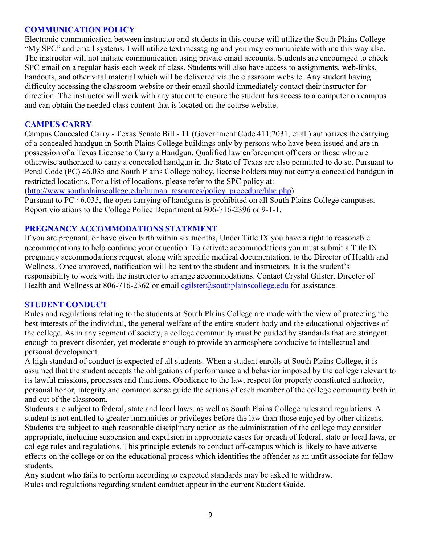#### **COMMUNICATION POLICY**

Electronic communication between instructor and students in this course will utilize the South Plains College "My SPC" and email systems. I will utilize text messaging and you may communicate with me this way also. The instructor will not initiate communication using private email accounts. Students are encouraged to check SPC email on a regular basis each week of class. Students will also have access to assignments, web-links, handouts, and other vital material which will be delivered via the classroom website. Any student having difficulty accessing the classroom website or their email should immediately contact their instructor for direction. The instructor will work with any student to ensure the student has access to a computer on campus and can obtain the needed class content that is located on the course website.

#### **CAMPUS CARRY**

Campus Concealed Carry - Texas Senate Bill - 11 (Government Code 411.2031, et al.) authorizes the carrying of a concealed handgun in South Plains College buildings only by persons who have been issued and are in possession of a Texas License to Carry a Handgun. Qualified law enforcement officers or those who are otherwise authorized to carry a concealed handgun in the State of Texas are also permitted to do so. Pursuant to Penal Code (PC) 46.035 and South Plains College policy, license holders may not carry a concealed handgun in restricted locations. For a list of locations, please refer to the SPC policy at:

[\(http://www.southplainscollege.edu/human\\_resources/policy\\_procedure/hhc.php\)](http://www.southplainscollege.edu/human_resources/policy_procedure/hhc.php)

Pursuant to PC 46.035, the open carrying of handguns is prohibited on all South Plains College campuses. Report violations to the College Police Department at 806-716-2396 or 9-1-1.

#### **PREGNANCY ACCOMMODATIONS STATEMENT**

If you are pregnant, or have given birth within six months, Under Title IX you have a right to reasonable accommodations to help continue your education. To activate accommodations you must submit a Title IX pregnancy accommodations request, along with specific medical documentation, to the Director of Health and Wellness. Once approved, notification will be sent to the student and instructors. It is the student's responsibility to work with the instructor to arrange accommodations. Contact Crystal Gilster, Director of Health and Wellness at 806-716-2362 or email  $cglister(\omega)$ southplainscollege.edu for assistance.

### **STUDENT CONDUCT**

Rules and regulations relating to the students at South Plains College are made with the view of protecting the best interests of the individual, the general welfare of the entire student body and the educational objectives of the college. As in any segment of society, a college community must be guided by standards that are stringent enough to prevent disorder, yet moderate enough to provide an atmosphere conducive to intellectual and personal development.

A high standard of conduct is expected of all students. When a student enrolls at South Plains College, it is assumed that the student accepts the obligations of performance and behavior imposed by the college relevant to its lawful missions, processes and functions. Obedience to the law, respect for properly constituted authority, personal honor, integrity and common sense guide the actions of each member of the college community both in and out of the classroom.

Students are subject to federal, state and local laws, as well as South Plains College rules and regulations. A student is not entitled to greater immunities or privileges before the law than those enjoyed by other citizens. Students are subject to such reasonable disciplinary action as the administration of the college may consider appropriate, including suspension and expulsion in appropriate cases for breach of federal, state or local laws, or college rules and regulations. This principle extends to conduct off-campus which is likely to have adverse effects on the college or on the educational process which identifies the offender as an unfit associate for fellow students.

Any student who fails to perform according to expected standards may be asked to withdraw. Rules and regulations regarding student conduct appear in the current Student Guide.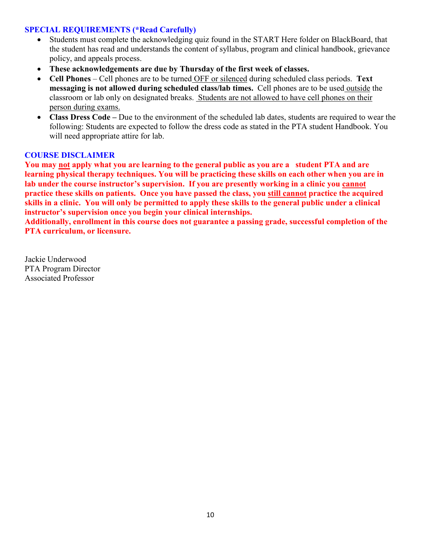### **SPECIAL REQUIREMENTS (\*Read Carefully)**

- Students must complete the acknowledging quiz found in the START Here folder on BlackBoard, that the student has read and understands the content of syllabus, program and clinical handbook, grievance policy, and appeals process.
- **These acknowledgements are due by Thursday of the first week of classes.**
- **Cell Phones** Cell phones are to be turned OFF or silenced during scheduled class periods. **Text messaging is not allowed during scheduled class/lab times.** Cell phones are to be used outside the classroom or lab only on designated breaks. Students are not allowed to have cell phones on their person during exams.
- **Class Dress Code –** Due to the environment of the scheduled lab dates, students are required to wear the following: Students are expected to follow the dress code as stated in the PTA student Handbook. You will need appropriate attire for lab.

### **COURSE DISCLAIMER**

**You may not apply what you are learning to the general public as you are a student PTA and are learning physical therapy techniques. You will be practicing these skills on each other when you are in lab under the course instructor's supervision. If you are presently working in a clinic you cannot practice these skills on patients. Once you have passed the class, you still cannot practice the acquired skills in a clinic. You will only be permitted to apply these skills to the general public under a clinical instructor's supervision once you begin your clinical internships.**

**Additionally, enrollment in this course does not guarantee a passing grade, successful completion of the PTA curriculum, or licensure.** 

Jackie Underwood PTA Program Director Associated Professor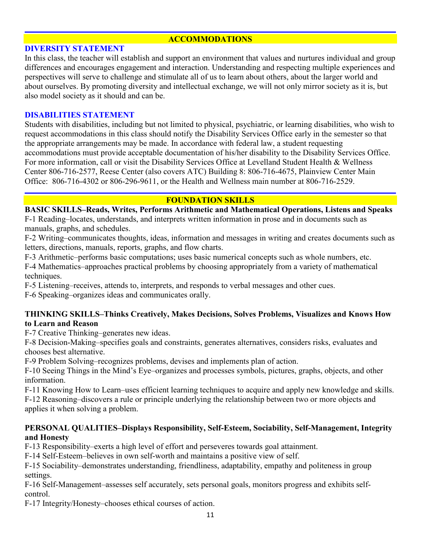### **ACCOMMODATIONS**

#### **DIVERSITY STATEMENT**

In this class, the teacher will establish and support an environment that values and nurtures individual and group differences and encourages engagement and interaction. Understanding and respecting multiple experiences and perspectives will serve to challenge and stimulate all of us to learn about others, about the larger world and about ourselves. By promoting diversity and intellectual exchange, we will not only mirror society as it is, but also model society as it should and can be.

#### **DISABILITIES STATEMENT**

Students with disabilities, including but not limited to physical, psychiatric, or learning disabilities, who wish to request accommodations in this class should notify the Disability Services Office early in the semester so that the appropriate arrangements may be made. In accordance with federal law, a student requesting accommodations must provide acceptable documentation of his/her disability to the Disability Services Office. For more information, call or visit the Disability Services Office at Levelland Student Health & Wellness Center 806-716-2577, Reese Center (also covers ATC) Building 8: 806-716-4675, Plainview Center Main Office: 806-716-4302 or 806-296-9611, or the Health and Wellness main number at 806-716-2529.

#### **FOUNDATION SKILLS**

**BASIC SKILLS–Reads, Writes, Performs Arithmetic and Mathematical Operations, Listens and Speaks** F-1 Reading–locates, understands, and interprets written information in prose and in documents such as manuals, graphs, and schedules.

F-2 Writing–communicates thoughts, ideas, information and messages in writing and creates documents such as letters, directions, manuals, reports, graphs, and flow charts.

F-3 Arithmetic–performs basic computations; uses basic numerical concepts such as whole numbers, etc.

F-4 Mathematics–approaches practical problems by choosing appropriately from a variety of mathematical techniques.

F-5 Listening–receives, attends to, interprets, and responds to verbal messages and other cues.

F-6 Speaking–organizes ideas and communicates orally.

#### **THINKING SKILLS–Thinks Creatively, Makes Decisions, Solves Problems, Visualizes and Knows How to Learn and Reason**

F-7 Creative Thinking–generates new ideas.

F-8 Decision-Making–specifies goals and constraints, generates alternatives, considers risks, evaluates and chooses best alternative.

F-9 Problem Solving–recognizes problems, devises and implements plan of action.

F-10 Seeing Things in the Mind's Eye–organizes and processes symbols, pictures, graphs, objects, and other information.

F-11 Knowing How to Learn–uses efficient learning techniques to acquire and apply new knowledge and skills. F-12 Reasoning–discovers a rule or principle underlying the relationship between two or more objects and applies it when solving a problem.

### **PERSONAL QUALITIES–Displays Responsibility, Self-Esteem, Sociability, Self-Management, Integrity and Honesty**

F-13 Responsibility–exerts a high level of effort and perseveres towards goal attainment.

F-14 Self-Esteem–believes in own self-worth and maintains a positive view of self.

F-15 Sociability–demonstrates understanding, friendliness, adaptability, empathy and politeness in group settings.

F-16 Self-Management–assesses self accurately, sets personal goals, monitors progress and exhibits selfcontrol.

F-17 Integrity/Honesty–chooses ethical courses of action.